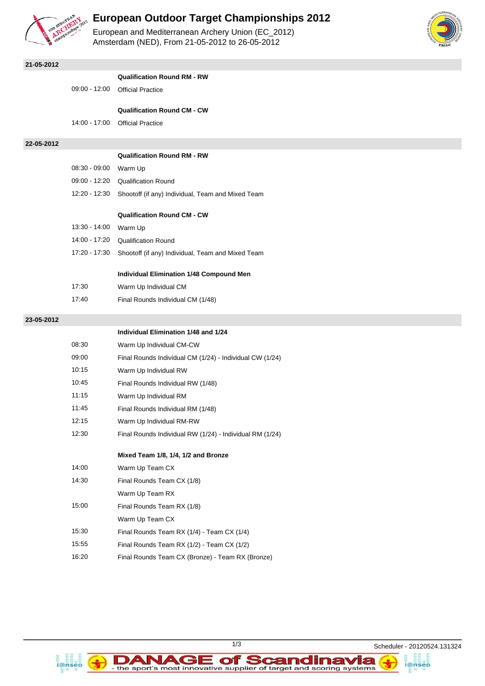

## **European Outdoor Target Championships 2012**

European and Mediterranean Archery Union (EC\_2012) Amsterdam (NED), From 21-05-2012 to 26-05-2012



i@nseo

| 21-05-2012 |                 |                                                          |
|------------|-----------------|----------------------------------------------------------|
|            |                 | <b>Qualification Round RM - RW</b>                       |
|            | $09:00 - 12:00$ | <b>Official Practice</b>                                 |
|            |                 | <b>Qualification Round CM - CW</b>                       |
|            | 14:00 - 17:00   | <b>Official Practice</b>                                 |
|            |                 |                                                          |
| 22-05-2012 |                 |                                                          |
|            |                 | <b>Qualification Round RM - RW</b>                       |
|            | $08:30 - 09:00$ | Warm Up                                                  |
|            | 09:00 - 12:20   | <b>Qualification Round</b>                               |
|            | 12:20 - 12:30   | Shootoff (if any) Individual, Team and Mixed Team        |
|            |                 | <b>Qualification Round CM - CW</b>                       |
|            | 13:30 - 14:00   | Warm Up                                                  |
|            | 14:00 - 17:20   | <b>Qualification Round</b>                               |
|            | 17:20 - 17:30   | Shootoff (if any) Individual, Team and Mixed Team        |
|            |                 |                                                          |
|            |                 | <b>Individual Elimination 1/48 Compound Men</b>          |
|            | 17:30           | Warm Up Individual CM                                    |
|            | 17:40           | Final Rounds Individual CM (1/48)                        |
| 23-05-2012 |                 |                                                          |
|            |                 | Individual Elimination 1/48 and 1/24                     |
|            | 08:30           | Warm Up Individual CM-CW                                 |
|            | 09:00           | Final Rounds Individual CM (1/24) - Individual CW (1/24) |
|            | 10:15           | Warm Up Individual RW                                    |
|            | 10:45           | Final Rounds Individual RW (1/48)                        |
|            | 11:15           | Warm Up Individual RM                                    |
|            | 11:45           | Final Rounds Individual RM (1/48)                        |
|            | 12:15           | Warm Up Individual RM-RW                                 |
|            | 12:30           | Final Rounds Individual RW (1/24) - Individual RM (1/24) |
|            |                 | Mixed Team 1/8, 1/4, 1/2 and Bronze                      |
|            | 14:00           | Warm Up Team CX                                          |
|            | 14:30           | Final Rounds Team CX (1/8)                               |
|            |                 | Warm Up Team RX                                          |
|            | 15:00           | Final Rounds Team RX (1/8)                               |
|            |                 | Warm Up Team CX                                          |
|            | 15:30           | Final Rounds Team RX (1/4) - Team CX (1/4)               |
|            | 15:55           | Final Rounds Team RX (1/2) - Team CX (1/2)               |
|            | 16:20           | Final Rounds Team CX (Bronze) - Team RX (Bronze)         |



DANAGE of Scandinavia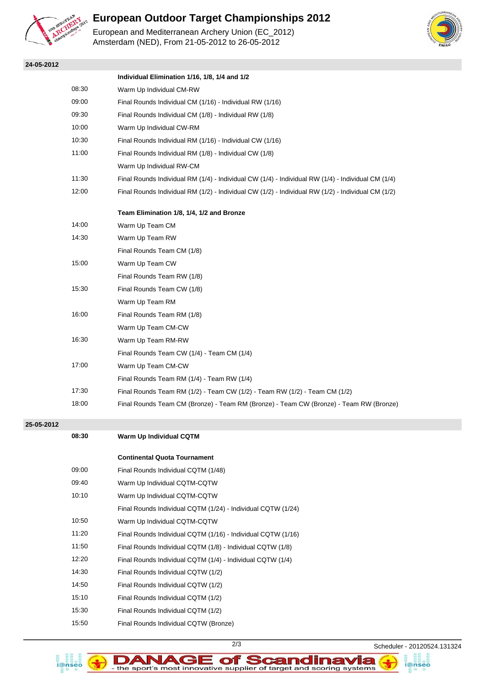

**24-05-2012**

# **European Outdoor Target Championships 2012**

European and Mediterranean Archery Union (EC\_2012) Amsterdam (NED), From 21-05-2012 to 26-05-2012



|       | Individual Elimination 1/16, 1/8, 1/4 and 1/2                                                      |  |  |
|-------|----------------------------------------------------------------------------------------------------|--|--|
| 08:30 | Warm Up Individual CM-RW                                                                           |  |  |
| 09:00 | Final Rounds Individual CM (1/16) - Individual RW (1/16)                                           |  |  |
| 09:30 | Final Rounds Individual CM (1/8) - Individual RW (1/8)                                             |  |  |
| 10:00 | Warm Up Individual CW-RM                                                                           |  |  |
| 10:30 | Final Rounds Individual RM (1/16) - Individual CW (1/16)                                           |  |  |
| 11:00 | Final Rounds Individual RM (1/8) - Individual CW (1/8)                                             |  |  |
|       | Warm Up Individual RW-CM                                                                           |  |  |
| 11:30 | Final Rounds Individual RM (1/4) - Individual CW (1/4) - Individual RW (1/4) - Individual CM (1/4) |  |  |
| 12:00 | Final Rounds Individual RM (1/2) - Individual CW (1/2) - Individual RW (1/2) - Individual CM (1/2) |  |  |
|       |                                                                                                    |  |  |
|       | Team Elimination 1/8, 1/4, 1/2 and Bronze                                                          |  |  |
| 14:00 | Warm Up Team CM                                                                                    |  |  |
| 14:30 | Warm Up Team RW                                                                                    |  |  |
|       | Final Rounds Team CM (1/8)                                                                         |  |  |
| 15:00 | Warm Up Team CW                                                                                    |  |  |
|       | Final Rounds Team RW (1/8)                                                                         |  |  |
| 15:30 | Final Rounds Team CW (1/8)                                                                         |  |  |
|       | Warm Up Team RM                                                                                    |  |  |
| 16:00 | Final Rounds Team RM (1/8)                                                                         |  |  |
|       | Warm Up Team CM-CW                                                                                 |  |  |
| 16:30 | Warm Up Team RM-RW                                                                                 |  |  |
|       | Final Rounds Team CW (1/4) - Team CM (1/4)                                                         |  |  |
| 17:00 | Warm Up Team CM-CW                                                                                 |  |  |
|       | Final Rounds Team RM (1/4) - Team RW (1/4)                                                         |  |  |
| 17:30 | Final Rounds Team RM (1/2) - Team CW (1/2) - Team RW (1/2) - Team CM (1/2)                         |  |  |
| 18:00 | Final Rounds Team CM (Bronze) - Team RM (Bronze) - Team CW (Bronze) - Team RW (Bronze)             |  |  |
|       |                                                                                                    |  |  |

### **25-05-2012**

| 08:30 | Warm Up Individual CQTM                                      |
|-------|--------------------------------------------------------------|
|       | <b>Continental Quota Tournament</b>                          |
| 09:00 | Final Rounds Individual CQTM (1/48)                          |
| 09:40 | Warm Up Individual CQTM-CQTW                                 |
| 10:10 | Warm Up Individual CQTM-CQTW                                 |
|       | Final Rounds Individual CQTM (1/24) - Individual CQTW (1/24) |
| 10:50 | Warm Up Individual CQTM-CQTW                                 |
| 11:20 | Final Rounds Individual CQTM (1/16) - Individual CQTW (1/16) |
| 11:50 | Final Rounds Individual CQTM (1/8) - Individual CQTW (1/8)   |
| 12:20 | Final Rounds Individual CQTM (1/4) - Individual CQTW (1/4)   |
| 14:30 | Final Rounds Individual CQTW (1/2)                           |
| 14:50 | Final Rounds Individual CQTW (1/2)                           |
| 15:10 | Final Rounds Individual CQTM (1/2)                           |
| 15:30 | Final Rounds Individual CQTM (1/2)                           |
| 15:50 | Final Rounds Individual CQTW (Bronze)                        |
|       |                                                              |



DANAGE of Scandinavia

2/3 Scheduler - 20120524.131324

i@nseo